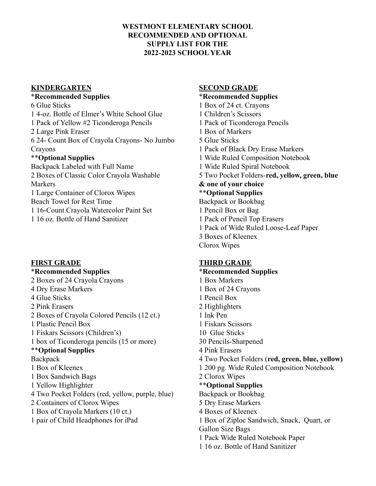## **WESTMONT ELEMENTARY SCHOOL RECOMMENDED AND OPTIONAL SUPPLY LIST FOR THE 2022-2023 SCHOOL YEAR**

### **KINDERGARTEN**

### \***Recommended Supplies**

6 Glue Sticks 1 4-oz. Bottle of Elmer's White School Glue 1 Pack of Yellow #2 Ticonderoga Pencils 2 Large Pink Eraser 6 24- Count Box of Crayola Crayons- No Jumbo **Crayons** \*\***Optional Supplies** Backpack Labeled with Full Name 2 Boxes of Classic Color Crayola Washable Markers 1 Large Container of Clorox Wipes Beach Towel for Rest Time 1 16-Count Crayola Watercolor Paint Set 1 16 oz. Bottle of Hand Sanitizer

## **FIRST GRADE**

# \***Recommended Supplies** 2 Boxes of 24 Crayola Crayons 4 Dry Erase Markers 4 Glue Sticks 2 Pink Erasers 2 Boxes of Crayola Colored Pencils (12 ct.) 1 Plastic Pencil Box 1 Fiskars Scissors (Children's) 1 box of Ticonderoga pencils (15 or more) \*\***Optional Supplies Backpack** 1 Box of Kleenex 1 Box Sandwich Bags 1 Yellow Highlighter 4 Two Pocket Folders (red, yellow, purple, blue) 2 Containers of Clorox Wipes 1 Box of Crayola Markers (10 ct.) 1 pair of Child Headphones for iPad

## **SECOND GRADE**

\***Recommended Supplies** 1 Box of 24 ct. Crayons 1 Children's Scissors 1 Pack of Ticonderoga Pencils 1 Box of Markers 5 Glue Sticks 1 Pack of Black Dry Erase Markers 1 Wide Ruled Composition Notebook 1 Wide Ruled Spiral Notebook 5 Two Pocket Folders-**red, yellow, green, blue & one of your choice** \*\***Optional Supplies** Backpack or Bookbag 1 Pencil Box or Bag 1 Pack of Pencil Top Erasers 1 Pack of Wide Ruled Loose-Leaf Paper 3 Boxes of Kleenex Clorox Wipes

# **THIRD GRADE**

# \***Recommended Supplies** 1 Box Markers 1 Box of 24 Crayons 1 Pencil Box 2 Highlighters 1 Ink Pen 1 Fiskars Scissors 10 Glue Sticks 30 Pencils-Sharpened 4 Pink Erasers 4 Two Pocket Folders (**red, green, blue, yellow)** 1 200 pg. Wide Ruled Composition Notebook 2 Clorox Wipes \*\***Optional Supplies** Backpack or Bookbag 5 Dry Erase Markers 4 Boxes of Kleenex 1 Box of Ziploc Sandwich, Snack, Quart, or Gallon Size Bags 1 Pack Wide Ruled Notebook Paper

1 16 oz. Bottle of Hand Sanitizer